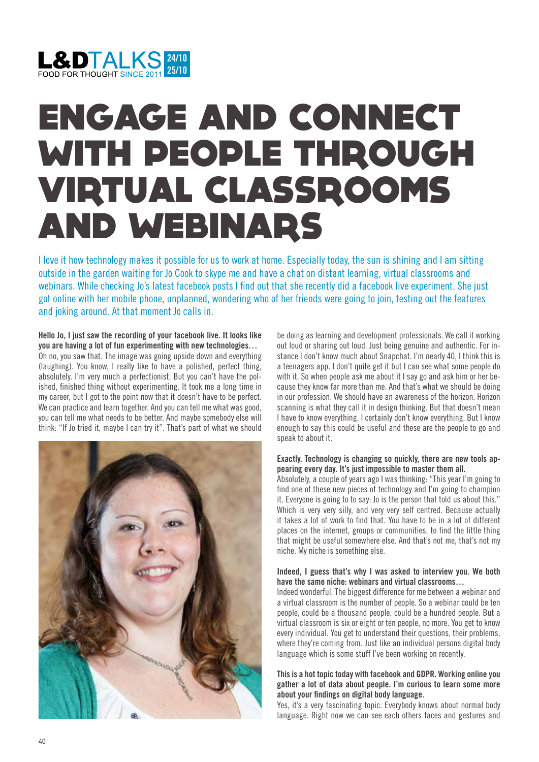

# ENGAGE AND CONNECT WITH PEOPLE THROUGH VIRTUAL CLASSROOMS AND WEBINARS

I love it how technology makes it possible for us to work at home. Especially today, the sun is shining and I am sitting outside in the garden waiting for Jo Cook to skype me and have a chat on distant learning, virtual classrooms and webinars. While checking Jo's latest facebook posts I find out that she recently did a facebook live experiment. She just got online with her mobile phone, unplanned, wondering who of her friends were going to join, testing out the features and joking around. At that moment Jo calls in.

**Hello Jo, I just saw the recording of your facebook live. It looks like you are having a lot of fun experimenting with new technologies…**  Oh no, you saw that. The image was going upside down and everything (laughing). You know, I really like to have a polished, perfect thing, absolutely. I'm very much a perfectionist. But you can't have the polished, finished thing without experimenting. It took me a long time in my career, but I got to the point now that it doesn't have to be perfect. We can practice and learn together. And you can tell me what was good, you can tell me what needs to be better. And maybe somebody else will think: "If Jo tried it, maybe I can try it". That's part of what we should



be doing as learning and development professionals. We call it working out loud or sharing out loud. Just being genuine and authentic. For instance I don't know much about Snapchat. I'm nearly 40, I think this is a teenagers app. I don't quite get it but I can see what some people do with it. So when people ask me about it I say go and ask him or her because they know far more than me. And that's what we should be doing in our profession. We should have an awareness of the horizon. Horizon scanning is what they call it in design thinking. But that doesn't mean I have to know everything. I certainly don't know everything. But I know enough to say this could be useful and these are the people to go and speak to about it.

### **Exactly. Technology is changing so quickly, there are new tools appearing every day. It's just impossible to master them all.**

Absolutely, a couple of years ago I was thinking: "This year I'm going to find one of these new pieces of technology and I'm going to champion it. Everyone is going to to say: Jo is the person that told us about this." Which is very very silly, and very very self centred. Because actually it takes a lot of work to find that. You have to be in a lot of different places on the internet, groups or communities, to find the little thing that might be useful somewhere else. And that's not me, that's not my niche. My niche is something else.

## **Indeed, I guess that's why I was asked to interview you. We both have the same niche: webinars and virtual classrooms…**

Indeed wonderful. The biggest difference for me between a webinar and a virtual classroom is the number of people. So a webinar could be ten people, could be a thousand people, could be a hundred people. But a virtual classroom is six or eight or ten people, no more. You get to know every individual. You get to understand their questions, their problems, where they're coming from. Just like an individual persons digital body language which is some stuff I've been working on recently.

# **This is a hot topic today with facebook and GDPR. Working online you gather a lot of data about people. I'm curious to learn some more about your findings on digital body language.**

Yes, it's a very fascinating topic. Everybody knows about normal body language. Right now we can see each others faces and gestures and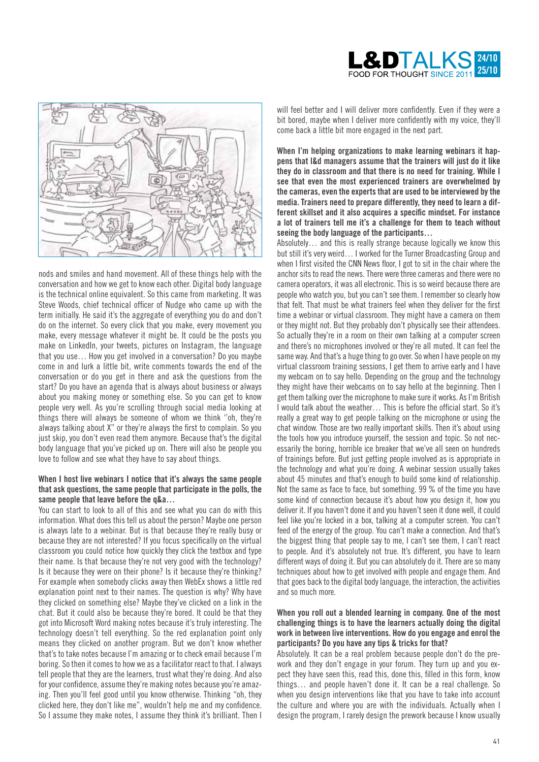



nods and smiles and hand movement. All of these things help with the conversation and how we get to know each other. Digital body language is the technical online equivalent. So this came from marketing. It was Steve Woods, chief technical officer of Nudge who came up with the term initially. He said it's the aggregate of everything you do and don't do on the internet. So every click that you make, every movement you make, every message whatever it might be. It could be the posts you make on LinkedIn, your tweets, pictures on Instagram, the language that you use… How you get involved in a conversation? Do you maybe come in and lurk a little bit, write comments towards the end of the conversation or do you get in there and ask the questions from the start? Do you have an agenda that is always about business or always about you making money or something else. So you can get to know people very well. As you're scrolling through social media looking at things there will always be someone of whom we think ''oh, they're always talking about X" or they're always the first to complain. So you just skip, you don't even read them anymore. Because that's the digital body language that you've picked up on. There will also be people you love to follow and see what they have to say about things.

#### **When I host live webinars I notice that it's always the same people that ask questions, the same people that participate in the polls, the same people that leave before the q&a…**

You can start to look to all of this and see what you can do with this information. What does this tell us about the person? Maybe one person is always late to a webinar. But is that because they're really busy or because they are not interested? If you focus specifically on the virtual classroom you could notice how quickly they click the textbox and type their name. Is that because they're not very good with the technology? Is it because they were on their phone? Is it because they're thinking? For example when somebody clicks away then WebEx shows a little red explanation point next to their names. The question is why? Why have they clicked on something else? Maybe they've clicked on a link in the chat. But it could also be because they're bored. It could be that they got into Microsoft Word making notes because it's truly interesting. The technology doesn't tell everything. So the red explanation point only means they clicked on another program. But we don't know whether that's to take notes because I'm amazing or to check email because I'm boring. So then it comes to how we as a facilitator react to that. I always tell people that they are the learners, trust what they're doing. And also for your confidence, assume they're making notes because you're amazing. Then you'll feel good until you know otherwise. Thinking "oh, they clicked here, they don't like me", wouldn't help me and my confidence. So I assume they make notes, I assume they think it's brilliant. Then I will feel better and I will deliver more confidently. Even if they were a bit bored, maybe when I deliver more confidently with my voice, they'll come back a little bit more engaged in the next part.

**When I'm helping organizations to make learning webinars it happens that l&d managers assume that the trainers will just do it like they do in classroom and that there is no need for training. While I see that even the most experienced trainers are overwhelmed by the cameras, even the experts that are used to be interviewed by the media. Trainers need to prepare differently, they need to learn a different skillset and it also acquires a specific mindset. For instance a lot of trainers tell me it's a challenge for them to teach without seeing the body language of the participants…** 

Absolutely… and this is really strange because logically we know this but still it's very weird… I worked for the Turner Broadcasting Group and when I first visited the CNN News floor, I got to sit in the chair where the anchor sits to read the news. There were three cameras and there were no camera operators, it was all electronic. This is so weird because there are people who watch you, but you can't see them. I remember so clearly how that felt. That must be what trainers feel when they deliver for the first time a webinar or virtual classroom. They might have a camera on them or they might not. But they probably don't physically see their attendees. So actually they're in a room on their own talking at a computer screen and there's no microphones involved or they're all muted. It can feel the same way. And that's a huge thing to go over. So when I have people on my virtual classroom training sessions, I get them to arrive early and I have my webcam on to say hello. Depending on the group and the technology they might have their webcams on to say hello at the beginning. Then I get them talking over the microphone to make sure it works. As I'm British I would talk about the weather… This is before the official start. So it's really a great way to get people talking on the microphone or using the chat window. Those are two really important skills. Then it's about using the tools how you introduce yourself, the session and topic. So not necessarily the boring, horrible ice breaker that we've all seen on hundreds of trainings before. But just getting people involved as is appropriate in the technology and what you're doing. A webinar session usually takes about 45 minutes and that's enough to build some kind of relationship. Not the same as face to face, but something. 99 % of the time you have some kind of connection because it's about how you design it, how you deliver it. If you haven't done it and you haven't seen it done well, it could feel like you're locked in a box, talking at a computer screen. You can't feed of the energy of the group. You can't make a connection. And that's the biggest thing that people say to me, I can't see them, I can't react to people. And it's absolutely not true. It's different, you have to learn different ways of doing it. But you can absolutely do it. There are so many techniques about how to get involved with people and engage them. And that goes back to the digital body language, the interaction, the activities and so much more.

### **When you roll out a blended learning in company. One of the most challenging things is to have the learners actually doing the digital work in between live interventions. How do you engage and enrol the participants? Do you have any tips & tricks for that?**

Absolutely. It can be a real problem because people don't do the prework and they don't engage in your forum. They turn up and you expect they have seen this, read this, done this, filled in this form, know things… and people haven't done it. It can be a real challenge. So when you design interventions like that you have to take into account the culture and where you are with the individuals. Actually when I design the program, I rarely design the prework because I know usually